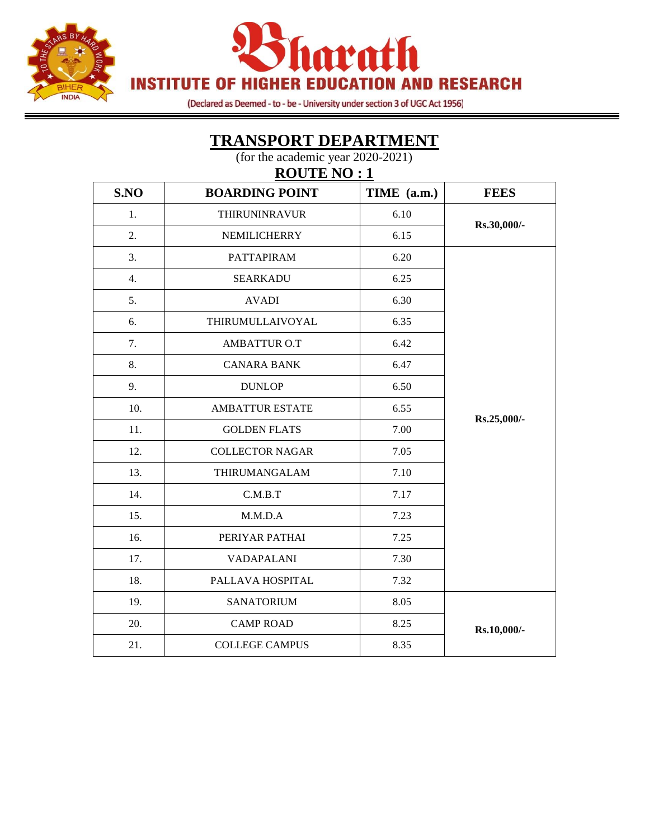



(Declared as Deemed - to - be - University under section 3 of UGC Act 1956)

#### **TRANSPORT DEPARTMENT** (for the academic year 2020-2021)

**ROUTE NO : 1**

| S.NO | <b>BOARDING POINT</b>  | TIME (a.m.) | <b>FEES</b> |
|------|------------------------|-------------|-------------|
| 1.   | <b>THIRUNINRAVUR</b>   | 6.10        | Rs.30,000/- |
| 2.   | NEMILICHERRY           | 6.15        |             |
| 3.   | <b>PATTAPIRAM</b>      | 6.20        |             |
| 4.   | <b>SEARKADU</b>        | 6.25        |             |
| 5.   | <b>AVADI</b>           | 6.30        |             |
| 6.   | THIRUMULLAIVOYAL       | 6.35        |             |
| 7.   | AMBATTUR O.T           | 6.42        |             |
| 8.   | <b>CANARA BANK</b>     | 6.47        |             |
| 9.   | <b>DUNLOP</b>          | 6.50        |             |
| 10.  | <b>AMBATTUR ESTATE</b> | 6.55        | Rs.25,000/- |
| 11.  | <b>GOLDEN FLATS</b>    | 7.00        |             |
| 12.  | <b>COLLECTOR NAGAR</b> | 7.05        |             |
| 13.  | THIRUMANGALAM          | 7.10        |             |
| 14.  | C.M.B.T                | 7.17        |             |
| 15.  | M.M.D.A                | 7.23        |             |
| 16.  | PERIYAR PATHAI         | 7.25        |             |
| 17.  | <b>VADAPALANI</b>      | 7.30        |             |
| 18.  | PALLAVA HOSPITAL       | 7.32        |             |
| 19.  | <b>SANATORIUM</b>      | 8.05        |             |
| 20.  | <b>CAMP ROAD</b>       | 8.25        | Rs.10,000/- |
| 21.  | <b>COLLEGE CAMPUS</b>  | 8.35        |             |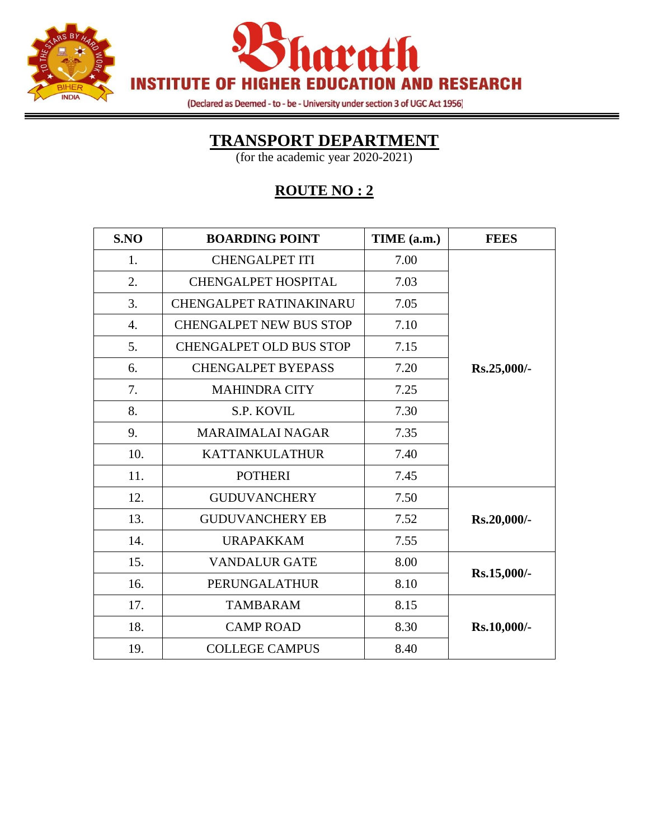



(Declared as Deemed - to - be - University under section 3 of UGC Act 1956)

### **TRANSPORT DEPARTMENT**

(for the academic year 2020-2021)

## **ROUTE NO : 2**

| S.NO | <b>BOARDING POINT</b>          | TIME (a.m.) | <b>FEES</b> |
|------|--------------------------------|-------------|-------------|
| 1.   | <b>CHENGALPET ITI</b>          | 7.00        |             |
| 2.   | <b>CHENGALPET HOSPITAL</b>     | 7.03        |             |
| 3.   | CHENGALPET RATINAKINARU        | 7.05        |             |
| 4.   | <b>CHENGALPET NEW BUS STOP</b> | 7.10        |             |
| 5.   | <b>CHENGALPET OLD BUS STOP</b> | 7.15        |             |
| 6.   | <b>CHENGALPET BYEPASS</b>      | 7.20        | Rs.25,000/- |
| 7.   | <b>MAHINDRA CITY</b>           | 7.25        |             |
| 8.   | S.P. KOVIL                     | 7.30        |             |
| 9.   | MARAIMALAI NAGAR               | 7.35        |             |
| 10.  | <b>KATTANKULATHUR</b>          | 7.40        |             |
| 11.  | <b>POTHERI</b>                 | 7.45        |             |
| 12.  | <b>GUDUVANCHERY</b>            | 7.50        |             |
| 13.  | <b>GUDUVANCHERY EB</b>         | 7.52        | Rs.20,000/- |
| 14.  | <b>URAPAKKAM</b>               | 7.55        |             |
| 15.  | <b>VANDALUR GATE</b>           | 8.00        |             |
| 16.  | PERUNGALATHUR                  | 8.10        | Rs.15,000/- |
| 17.  | <b>TAMBARAM</b>                | 8.15        |             |
| 18.  | <b>CAMP ROAD</b>               | 8.30        | Rs.10,000/- |
| 19.  | <b>COLLEGE CAMPUS</b>          | 8.40        |             |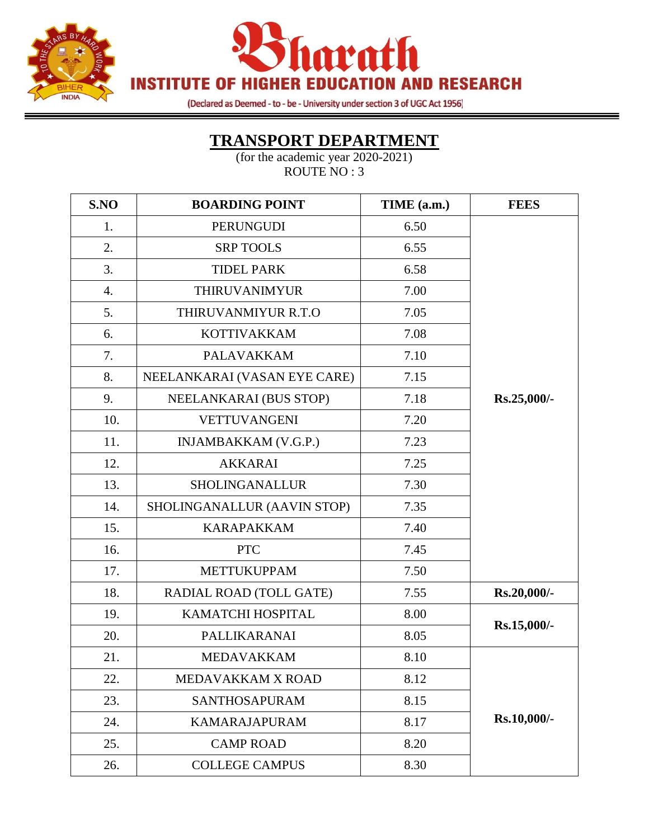



(Declared as Deemed - to - be - University under section 3 of UGC Act 1956)

#### **TRANSPORT DEPARTMENT**

═

| S.NO | <b>BOARDING POINT</b>        | TIME (a.m.) | <b>FEES</b> |
|------|------------------------------|-------------|-------------|
| 1.   | <b>PERUNGUDI</b>             | 6.50        |             |
| 2.   | <b>SRP TOOLS</b>             | 6.55        |             |
| 3.   | <b>TIDEL PARK</b>            | 6.58        |             |
| 4.   | THIRUVANIMYUR                | 7.00        |             |
| 5.   | THIRUVANMIYUR R.T.O          | 7.05        |             |
| 6.   | <b>KOTTIVAKKAM</b>           | 7.08        |             |
| 7.   | <b>PALAVAKKAM</b>            | 7.10        |             |
| 8.   | NEELANKARAI (VASAN EYE CARE) | 7.15        |             |
| 9.   | NEELANKARAI (BUS STOP)       | 7.18        | Rs.25,000/- |
| 10.  | <b>VETTUVANGENI</b>          | 7.20        |             |
| 11.  | <b>INJAMBAKKAM (V.G.P.)</b>  | 7.23        |             |
| 12.  | <b>AKKARAI</b>               | 7.25        |             |
| 13.  | <b>SHOLINGANALLUR</b>        | 7.30        |             |
| 14.  | SHOLINGANALLUR (AAVIN STOP)  | 7.35        |             |
| 15.  | <b>KARAPAKKAM</b>            | 7.40        |             |
| 16.  | <b>PTC</b>                   | 7.45        |             |
| 17.  | <b>METTUKUPPAM</b>           | 7.50        |             |
| 18.  | RADIAL ROAD (TOLL GATE)      | 7.55        | Rs.20,000/- |
| 19.  | KAMATCHI HOSPITAL            | 8.00        |             |
| 20.  | <b>PALLIKARANAI</b>          | 8.05        | Rs.15,000/- |
| 21.  | <b>MEDAVAKKAM</b>            | 8.10        |             |
| 22.  | MEDAVAKKAM X ROAD            | 8.12        |             |
| 23.  | SANTHOSAPURAM                | 8.15        |             |
| 24.  | <b>KAMARAJAPURAM</b>         | 8.17        | Rs.10,000/- |
| 25.  | <b>CAMP ROAD</b>             | 8.20        |             |
| 26.  | <b>COLLEGE CAMPUS</b>        | 8.30        |             |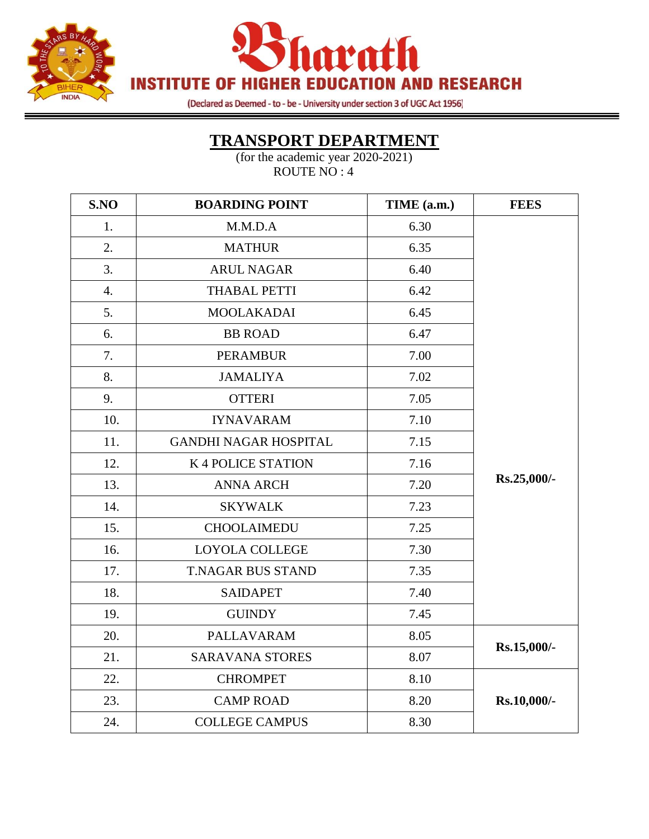



(Declared as Deemed - to - be - University under section 3 of UGC Act 1956)

### **TRANSPORT DEPARTMENT**

═

| S.NO             | <b>BOARDING POINT</b>        | TIME (a.m.) | <b>FEES</b> |
|------------------|------------------------------|-------------|-------------|
| 1.               | M.M.D.A                      | 6.30        |             |
| 2.               | <b>MATHUR</b>                | 6.35        |             |
| 3.               | <b>ARUL NAGAR</b>            | 6.40        |             |
| $\overline{4}$ . | <b>THABAL PETTI</b>          | 6.42        |             |
| 5.               | <b>MOOLAKADAI</b>            | 6.45        |             |
| 6.               | <b>BB ROAD</b>               | 6.47        |             |
| 7.               | <b>PERAMBUR</b>              | 7.00        |             |
| 8.               | <b>JAMALIYA</b>              | 7.02        |             |
| 9.               | <b>OTTERI</b>                | 7.05        |             |
| 10.              | <b>IYNAVARAM</b>             | 7.10        |             |
| 11.              | <b>GANDHI NAGAR HOSPITAL</b> | 7.15        |             |
| 12.              | K 4 POLICE STATION           | 7.16        |             |
| 13.              | <b>ANNA ARCH</b>             | 7.20        | Rs.25,000/- |
| 14.              | <b>SKYWALK</b>               | 7.23        |             |
| 15.              | <b>CHOOLAIMEDU</b>           | 7.25        |             |
| 16.              | <b>LOYOLA COLLEGE</b>        | 7.30        |             |
| 17.              | <b>T.NAGAR BUS STAND</b>     | 7.35        |             |
| 18.              | <b>SAIDAPET</b>              | 7.40        |             |
| 19.              | <b>GUINDY</b>                | 7.45        |             |
| 20.              | PALLAVARAM                   | 8.05        | Rs.15,000/- |
| 21.              | <b>SARAVANA STORES</b>       | 8.07        |             |
| 22.              | <b>CHROMPET</b>              | 8.10        |             |
| 23.              | <b>CAMP ROAD</b>             | 8.20        | Rs.10,000/- |
| 24.              | <b>COLLEGE CAMPUS</b>        | 8.30        |             |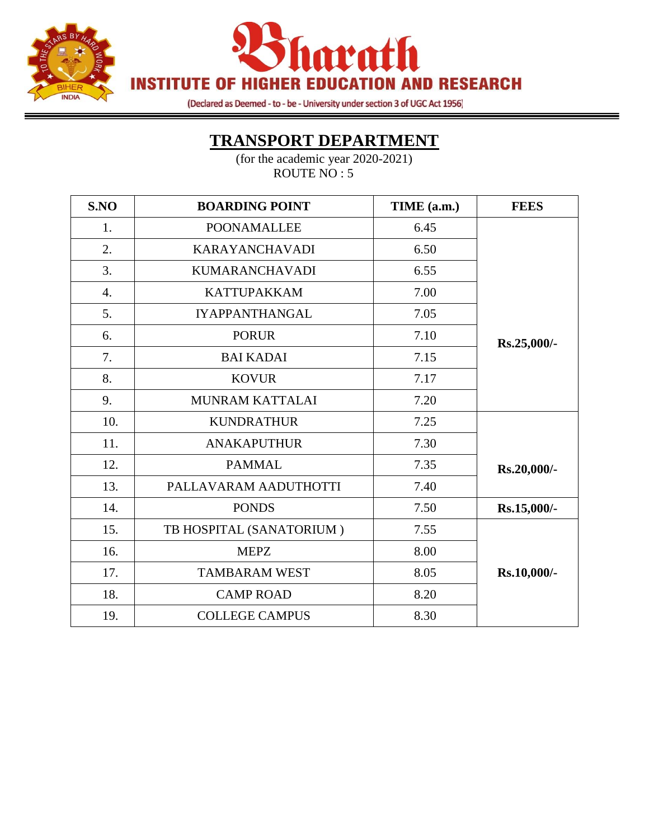



(Declared as Deemed - to - be - University under section 3 of UGC Act 1956)

# **TRANSPORT DEPARTMENT**

| S.NO             | <b>BOARDING POINT</b>    | TIME (a.m.) | <b>FEES</b> |
|------------------|--------------------------|-------------|-------------|
| 1.               | <b>POONAMALLEE</b>       | 6.45        |             |
| 2.               | <b>KARAYANCHAVADI</b>    | 6.50        |             |
| 3.               | <b>KUMARANCHAVADI</b>    | 6.55        |             |
| $\overline{4}$ . | <b>KATTUPAKKAM</b>       | 7.00        |             |
| 5.               | <b>IYAPPANTHANGAL</b>    | 7.05        |             |
| 6.               | <b>PORUR</b>             | 7.10        | Rs.25,000/- |
| 7.               | <b>BAI KADAI</b>         | 7.15        |             |
| 8.               | <b>KOVUR</b>             | 7.17        |             |
| 9.               | MUNRAM KATTALAI          | 7.20        |             |
| 10.              | <b>KUNDRATHUR</b>        | 7.25        |             |
| 11.              | <b>ANAKAPUTHUR</b>       | 7.30        |             |
| 12.              | <b>PAMMAL</b>            | 7.35        | Rs.20,000/- |
| 13.              | PALLAVARAM AADUTHOTTI    | 7.40        |             |
| 14.              | <b>PONDS</b>             | 7.50        | Rs.15,000/- |
| 15.              | TB HOSPITAL (SANATORIUM) | 7.55        |             |
| 16.              | <b>MEPZ</b>              | 8.00        |             |
| 17.              | <b>TAMBARAM WEST</b>     | 8.05        | Rs.10,000/- |
| 18.              | <b>CAMP ROAD</b>         | 8.20        |             |
| 19.              | <b>COLLEGE CAMPUS</b>    | 8.30        |             |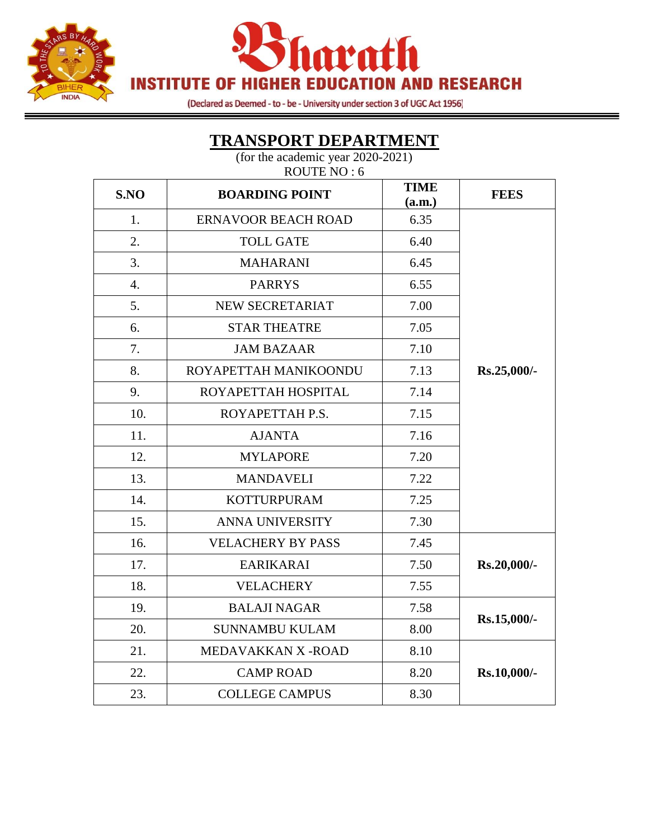



(Declared as Deemed - to - be - University under section 3 of UGC Act 1956)

### ROUTE NO : 6 **S.NO BOARDING POINT TIME**  $\begin{array}{c|c}\n\hline\n\text{(a.m.)}\n\end{array}$  **FEES** 1. ERNAVOOR BEACH ROAD | 6.35 **Rs.25,000/-** 2. TOLL GATE 6.40 3. MAHARANI 6.45 4. PARRYS 6.55 5. NEW SECRETARIAT 7.00 6. STAR THEATRE 7.05 7. JAM BAZAAR 7.10 8. ROYAPETTAH MANIKOONDU | 7.13 9. ROYAPETTAH HOSPITAL | 7.14 10. ROYAPETTAH P.S. 2.15 11. AJANTA 7.16 12. MYLAPORE 7.20 13. | MANDAVELI | 7.22 14. KOTTURPURAM 7.25 15. ANNA UNIVERSITY 7.30 16. VELACHERY BY PASS 1 7.45 17. EARIKARAI 7.50 **Rs.20,000/-** 18. **ISSUE VELACHERY** 7.55 19. BALAJI NAGAR 19.58 **Rs.15,000/-** 20. SUNNAMBU KULAM 8.00 21. MEDAVAKKAN X - ROAD  $\vert$  8.10 22. CAMP ROAD 8.20 **Rs.10,000/-** 23. COLLEGE CAMPUS 8.30

#### **TRANSPORT DEPARTMENT**

(for the academic year 2020-2021)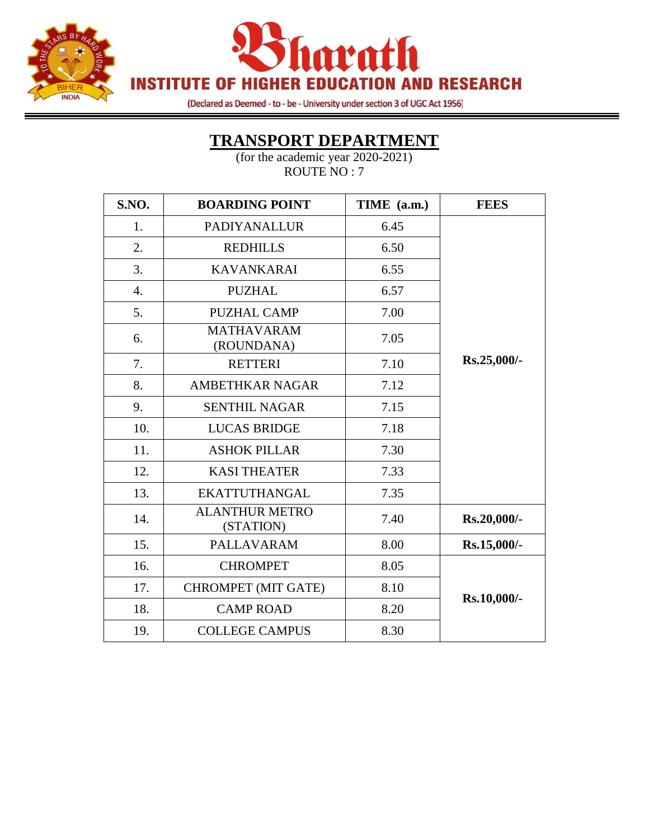



(Declared as Deemed - to - be - University under section 3 of UGC Act 1956)

#### **TRANSPORT DEPARTMENT**

| S.NO.            | <b>BOARDING POINT</b>              | TIME (a.m.) | <b>FEES</b> |
|------------------|------------------------------------|-------------|-------------|
| 1.               | <b>PADIYANALLUR</b>                | 6.45        |             |
| 2.               | <b>REDHILLS</b>                    | 6.50        |             |
| 3.               | <b>KAVANKARAI</b>                  | 6.55        |             |
| $\overline{4}$ . | <b>PUZHAL</b>                      | 6.57        |             |
| 5.               | <b>PUZHAL CAMP</b>                 | 7.00        |             |
| 6.               | <b>MATHAVARAM</b><br>(ROUNDANA)    | 7.05        |             |
| 7.               | <b>RETTERI</b>                     | 7.10        | Rs.25,000/- |
| 8.               | <b>AMBETHKAR NAGAR</b>             | 7.12        |             |
| 9.               | <b>SENTHIL NAGAR</b>               | 7.15        |             |
| 10.              | <b>LUCAS BRIDGE</b>                | 7.18        |             |
| 11.              | <b>ASHOK PILLAR</b>                | 7.30        |             |
| 12.              | <b>KASI THEATER</b>                | 7.33        |             |
| 13.              | <b>EKATTUTHANGAL</b>               | 7.35        |             |
| 14.              | <b>ALANTHUR METRO</b><br>(STATION) | 7.40        | Rs.20,000/- |
| 15.              | <b>PALLAVARAM</b>                  | 8.00        | Rs.15,000/- |
| 16.              | <b>CHROMPET</b>                    | 8.05        |             |
| 17.              | <b>CHROMPET (MIT GATE)</b>         | 8.10        | Rs.10,000/- |
| 18.              | <b>CAMP ROAD</b>                   | 8.20        |             |
| 19.              | <b>COLLEGE CAMPUS</b>              | 8.30        |             |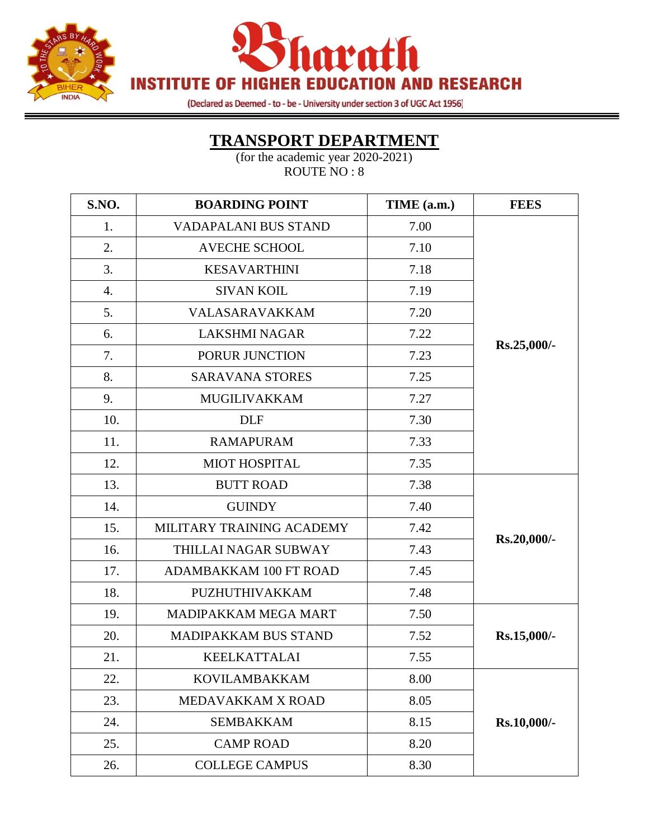



(Declared as Deemed - to - be - University under section 3 of UGC Act 1956)

### **TRANSPORT DEPARTMENT**

═

| S.NO. | <b>BOARDING POINT</b>       | TIME (a.m.) | <b>FEES</b> |
|-------|-----------------------------|-------------|-------------|
| 1.    | <b>VADAPALANI BUS STAND</b> | 7.00        |             |
| 2.    | <b>AVECHE SCHOOL</b>        | 7.10        |             |
| 3.    | <b>KESAVARTHINI</b>         | 7.18        |             |
| 4.    | <b>SIVAN KOIL</b>           | 7.19        |             |
| 5.    | VALASARAVAKKAM              | 7.20        |             |
| 6.    | <b>LAKSHMI NAGAR</b>        | 7.22        |             |
| 7.    | PORUR JUNCTION              | 7.23        | Rs.25,000/- |
| 8.    | <b>SARAVANA STORES</b>      | 7.25        |             |
| 9.    | <b>MUGILIVAKKAM</b>         | 7.27        |             |
| 10.   | <b>DLF</b>                  | 7.30        |             |
| 11.   | <b>RAMAPURAM</b>            | 7.33        |             |
| 12.   | <b>MIOT HOSPITAL</b>        | 7.35        |             |
| 13.   | <b>BUTT ROAD</b>            | 7.38        | Rs.20,000/- |
| 14.   | <b>GUINDY</b>               | 7.40        |             |
| 15.   | MILITARY TRAINING ACADEMY   | 7.42        |             |
| 16.   | THILLAI NAGAR SUBWAY        | 7.43        |             |
| 17.   | ADAMBAKKAM 100 FT ROAD      | 7.45        |             |
| 18.   | PUZHUTHIVAKKAM              | 7.48        |             |
| 19.   | MADIPAKKAM MEGA MART        | 7.50        |             |
| 20.   | MADIPAKKAM BUS STAND        | 7.52        | Rs.15,000/- |
| 21.   | <b>KEELKATTALAI</b>         | 7.55        |             |
| 22.   | <b>KOVILAMBAKKAM</b>        | 8.00        |             |
| 23.   | MEDAVAKKAM X ROAD           | 8.05        |             |
| 24.   | <b>SEMBAKKAM</b>            | 8.15        | Rs.10,000/- |
| 25.   | <b>CAMP ROAD</b>            | 8.20        |             |
| 26.   | <b>COLLEGE CAMPUS</b>       | 8.30        |             |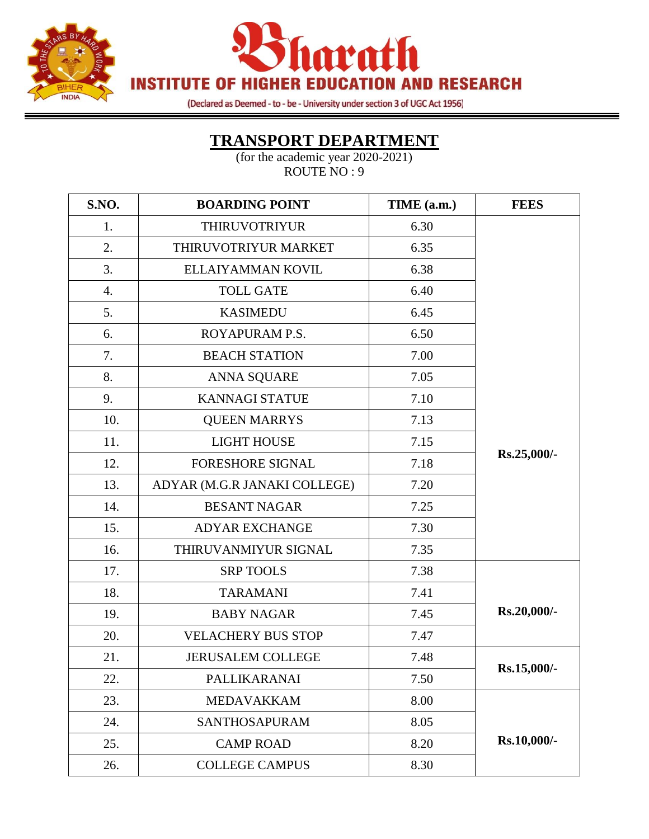



(Declared as Deemed - to - be - University under section 3 of UGC Act 1956)

#### **TRANSPORT DEPARTMENT**

═

| S.NO. | <b>BOARDING POINT</b>        | TIME (a.m.) | <b>FEES</b> |
|-------|------------------------------|-------------|-------------|
| 1.    | <b>THIRUVOTRIYUR</b>         | 6.30        |             |
| 2.    | THIRUVOTRIYUR MARKET         | 6.35        |             |
| 3.    | ELLAIYAMMAN KOVIL            | 6.38        |             |
| 4.    | <b>TOLL GATE</b>             | 6.40        |             |
| 5.    | <b>KASIMEDU</b>              | 6.45        |             |
| 6.    | ROYAPURAM P.S.               | 6.50        |             |
| 7.    | <b>BEACH STATION</b>         | 7.00        |             |
| 8.    | <b>ANNA SQUARE</b>           | 7.05        |             |
| 9.    | <b>KANNAGI STATUE</b>        | 7.10        |             |
| 10.   | <b>QUEEN MARRYS</b>          | 7.13        |             |
| 11.   | <b>LIGHT HOUSE</b>           | 7.15        |             |
| 12.   | <b>FORESHORE SIGNAL</b>      | 7.18        | Rs.25,000/- |
| 13.   | ADYAR (M.G.R JANAKI COLLEGE) | 7.20        |             |
| 14.   | <b>BESANT NAGAR</b>          | 7.25        |             |
| 15.   | <b>ADYAR EXCHANGE</b>        | 7.30        |             |
| 16.   | THIRUVANMIYUR SIGNAL         | 7.35        |             |
| 17.   | <b>SRP TOOLS</b>             | 7.38        |             |
| 18.   | <b>TARAMANI</b>              | 7.41        |             |
| 19.   | <b>BABY NAGAR</b>            | 7.45        | Rs.20,000/- |
| 20.   | <b>VELACHERY BUS STOP</b>    | 7.47        |             |
| 21.   | <b>JERUSALEM COLLEGE</b>     | 7.48        |             |
| 22.   | PALLIKARANAI                 | 7.50        | Rs.15,000/- |
| 23.   | <b>MEDAVAKKAM</b>            | 8.00        |             |
| 24.   | <b>SANTHOSAPURAM</b>         | 8.05        |             |
| 25.   | <b>CAMP ROAD</b>             | 8.20        | Rs.10,000/- |
| 26.   | <b>COLLEGE CAMPUS</b>        | 8.30        |             |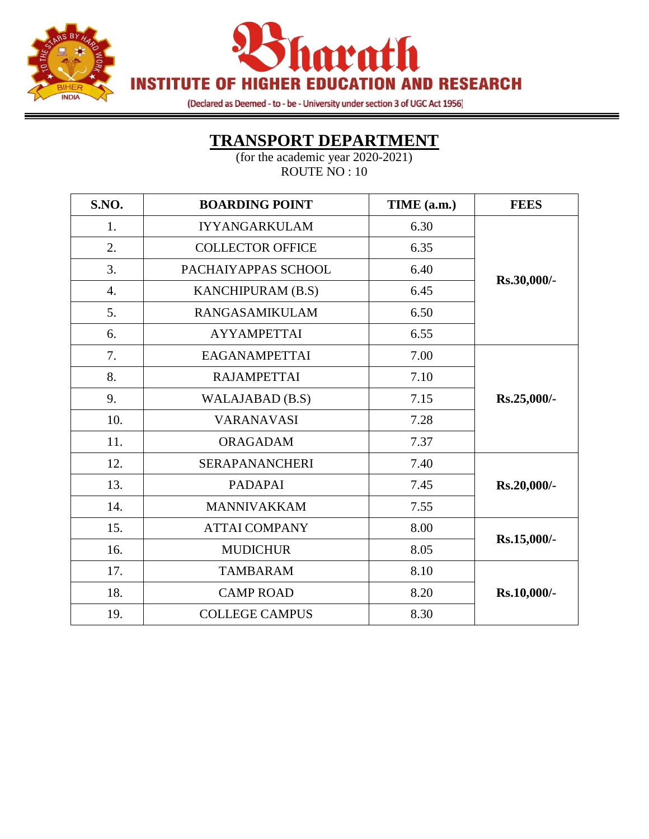



(Declared as Deemed - to - be - University under section 3 of UGC Act 1956)

### **TRANSPORT DEPARTMENT**

| S.NO. | <b>BOARDING POINT</b>   | TIME (a.m.) | <b>FEES</b> |
|-------|-------------------------|-------------|-------------|
| 1.    | <b>IYYANGARKULAM</b>    | 6.30        |             |
| 2.    | <b>COLLECTOR OFFICE</b> | 6.35        |             |
| 3.    | PACHAIYAPPAS SCHOOL     | 6.40        |             |
| 4.    | KANCHIPURAM (B.S)       | 6.45        | Rs.30,000/- |
| 5.    | <b>RANGASAMIKULAM</b>   | 6.50        |             |
| 6.    | <b>AYYAMPETTAI</b>      | 6.55        |             |
| 7.    | <b>EAGANAMPETTAI</b>    | 7.00        |             |
| 8.    | <b>RAJAMPETTAI</b>      | 7.10        |             |
| 9.    | WALAJABAD (B.S)         | 7.15        | Rs.25,000/- |
| 10.   | <b>VARANAVASI</b>       | 7.28        |             |
| 11.   | <b>ORAGADAM</b>         | 7.37        |             |
| 12.   | <b>SERAPANANCHERI</b>   | 7.40        |             |
| 13.   | <b>PADAPAI</b>          | 7.45        | Rs.20,000/- |
| 14.   | <b>MANNIVAKKAM</b>      | 7.55        |             |
| 15.   | <b>ATTAI COMPANY</b>    | 8.00        |             |
| 16.   | <b>MUDICHUR</b>         | 8.05        | Rs.15,000/- |
| 17.   | <b>TAMBARAM</b>         | 8.10        |             |
| 18.   | <b>CAMP ROAD</b>        | 8.20        | Rs.10,000/- |
| 19.   | <b>COLLEGE CAMPUS</b>   | 8.30        |             |